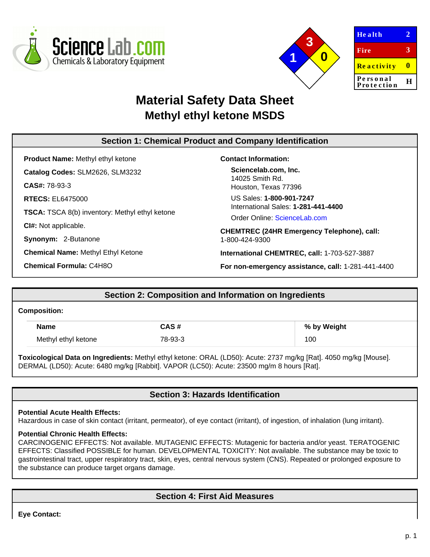



| <b>Health</b>          |   |
|------------------------|---|
| Fire                   | 3 |
| <b>Reactivity</b>      | Ш |
| Personal<br>Protection | н |
|                        |   |

# **Material Safety Data Sheet Methyl ethyl ketone MSDS**

# **Section 1: Chemical Product and Company Identification**

**Product Name:** Methyl ethyl ketone **Catalog Codes:** SLM2626, SLM3232 **CAS#:** 78-93-3 **RTECS:** EL6475000 **TSCA:** TSCA 8(b) inventory: Methyl ethyl ketone **CI#:** Not applicable. **Synonym:** 2-Butanone **Chemical Name:** Methyl Ethyl Ketone

**Chemical Formula:** C4H8O

### **Contact Information:**

**Sciencelab.com, Inc.** 14025 Smith Rd. Houston, Texas 77396

US Sales: **1-800-901-7247** International Sales: **1-281-441-4400**

Order Online: [ScienceLab.com](http://www.sciencelab.com/)

**CHEMTREC (24HR Emergency Telephone), call:** 1-800-424-9300

**International CHEMTREC, call:** 1-703-527-3887

**For non-emergency assistance, call:** 1-281-441-4400

# **Section 2: Composition and Information on Ingredients**

#### **Composition:**

| <b>Name</b>         | CAS#    | % by Weight |
|---------------------|---------|-------------|
| Methyl ethyl ketone | 78-93-3 | 100         |

**Toxicological Data on Ingredients:** Methyl ethyl ketone: ORAL (LD50): Acute: 2737 mg/kg [Rat]. 4050 mg/kg [Mouse]. DERMAL (LD50): Acute: 6480 mg/kg [Rabbit]. VAPOR (LC50): Acute: 23500 mg/m 8 hours [Rat].

# **Section 3: Hazards Identification**

#### **Potential Acute Health Effects:**

Hazardous in case of skin contact (irritant, permeator), of eye contact (irritant), of ingestion, of inhalation (lung irritant).

#### **Potential Chronic Health Effects:**

CARCINOGENIC EFFECTS: Not available. MUTAGENIC EFFECTS: Mutagenic for bacteria and/or yeast. TERATOGENIC EFFECTS: Classified POSSIBLE for human. DEVELOPMENTAL TOXICITY: Not available. The substance may be toxic to gastrointestinal tract, upper respiratory tract, skin, eyes, central nervous system (CNS). Repeated or prolonged exposure to the substance can produce target organs damage.

# **Section 4: First Aid Measures**

**Eye Contact:**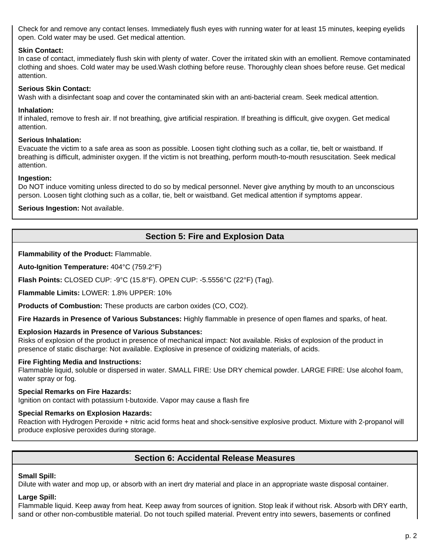Check for and remove any contact lenses. Immediately flush eyes with running water for at least 15 minutes, keeping eyelids open. Cold water may be used. Get medical attention.

#### **Skin Contact:**

In case of contact, immediately flush skin with plenty of water. Cover the irritated skin with an emollient. Remove contaminated clothing and shoes. Cold water may be used.Wash clothing before reuse. Thoroughly clean shoes before reuse. Get medical attention.

### **Serious Skin Contact:**

Wash with a disinfectant soap and cover the contaminated skin with an anti-bacterial cream. Seek medical attention.

#### **Inhalation:**

If inhaled, remove to fresh air. If not breathing, give artificial respiration. If breathing is difficult, give oxygen. Get medical attention.

#### **Serious Inhalation:**

Evacuate the victim to a safe area as soon as possible. Loosen tight clothing such as a collar, tie, belt or waistband. If breathing is difficult, administer oxygen. If the victim is not breathing, perform mouth-to-mouth resuscitation. Seek medical attention.

#### **Ingestion:**

Do NOT induce vomiting unless directed to do so by medical personnel. Never give anything by mouth to an unconscious person. Loosen tight clothing such as a collar, tie, belt or waistband. Get medical attention if symptoms appear.

#### **Serious Ingestion:** Not available.

# **Section 5: Fire and Explosion Data**

**Flammability of the Product:** Flammable.

**Auto-Ignition Temperature:** 404°C (759.2°F)

**Flash Points:** CLOSED CUP: -9°C (15.8°F). OPEN CUP: -5.5556°C (22°F) (Tag).

**Flammable Limits:** LOWER: 1.8% UPPER: 10%

**Products of Combustion:** These products are carbon oxides (CO, CO2).

**Fire Hazards in Presence of Various Substances:** Highly flammable in presence of open flames and sparks, of heat.

#### **Explosion Hazards in Presence of Various Substances:**

Risks of explosion of the product in presence of mechanical impact: Not available. Risks of explosion of the product in presence of static discharge: Not available. Explosive in presence of oxidizing materials, of acids.

#### **Fire Fighting Media and Instructions:**

Flammable liquid, soluble or dispersed in water. SMALL FIRE: Use DRY chemical powder. LARGE FIRE: Use alcohol foam, water spray or fog.

#### **Special Remarks on Fire Hazards:**

Ignition on contact with potassium t-butoxide. Vapor may cause a flash fire

### **Special Remarks on Explosion Hazards:**

Reaction with Hydrogen Peroxide + nitric acid forms heat and shock-sensitive explosive product. Mixture with 2-propanol will produce explosive peroxides during storage.

### **Section 6: Accidental Release Measures**

#### **Small Spill:**

Dilute with water and mop up, or absorb with an inert dry material and place in an appropriate waste disposal container.

#### **Large Spill:**

Flammable liquid. Keep away from heat. Keep away from sources of ignition. Stop leak if without risk. Absorb with DRY earth, sand or other non-combustible material. Do not touch spilled material. Prevent entry into sewers, basements or confined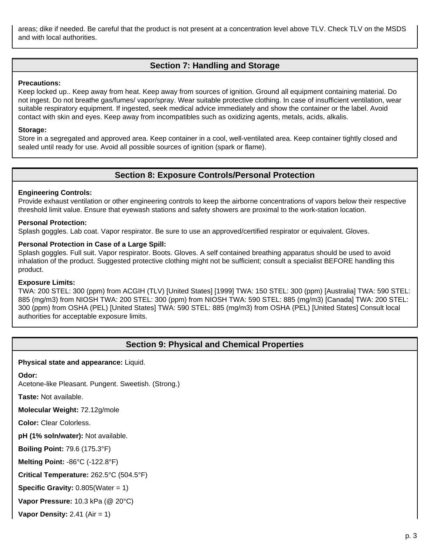areas; dike if needed. Be careful that the product is not present at a concentration level above TLV. Check TLV on the MSDS and with local authorities.

## **Section 7: Handling and Storage**

#### **Precautions:**

Keep locked up.. Keep away from heat. Keep away from sources of ignition. Ground all equipment containing material. Do not ingest. Do not breathe gas/fumes/ vapor/spray. Wear suitable protective clothing. In case of insufficient ventilation, wear suitable respiratory equipment. If ingested, seek medical advice immediately and show the container or the label. Avoid contact with skin and eyes. Keep away from incompatibles such as oxidizing agents, metals, acids, alkalis.

#### **Storage:**

Store in a segregated and approved area. Keep container in a cool, well-ventilated area. Keep container tightly closed and sealed until ready for use. Avoid all possible sources of ignition (spark or flame).

### **Section 8: Exposure Controls/Personal Protection**

#### **Engineering Controls:**

Provide exhaust ventilation or other engineering controls to keep the airborne concentrations of vapors below their respective threshold limit value. Ensure that eyewash stations and safety showers are proximal to the work-station location.

#### **Personal Protection:**

Splash goggles. Lab coat. Vapor respirator. Be sure to use an approved/certified respirator or equivalent. Gloves.

#### **Personal Protection in Case of a Large Spill:**

Splash goggles. Full suit. Vapor respirator. Boots. Gloves. A self contained breathing apparatus should be used to avoid inhalation of the product. Suggested protective clothing might not be sufficient; consult a specialist BEFORE handling this product.

#### **Exposure Limits:**

TWA: 200 STEL: 300 (ppm) from ACGIH (TLV) [United States] [1999] TWA: 150 STEL: 300 (ppm) [Australia] TWA: 590 STEL: 885 (mg/m3) from NIOSH TWA: 200 STEL: 300 (ppm) from NIOSH TWA: 590 STEL: 885 (mg/m3) [Canada] TWA: 200 STEL: 300 (ppm) from OSHA (PEL) [United States] TWA: 590 STEL: 885 (mg/m3) from OSHA (PEL) [United States] Consult local authorities for acceptable exposure limits.

### **Section 9: Physical and Chemical Properties**

**Physical state and appearance:** Liquid.

#### **Odor:**

Acetone-like Pleasant. Pungent. Sweetish. (Strong.)

**Taste:** Not available.

**Molecular Weight:** 72.12g/mole

**Color:** Clear Colorless.

**pH (1% soln/water):** Not available.

**Boiling Point:** 79.6 (175.3°F)

**Melting Point:** -86°C (-122.8°F)

**Critical Temperature:** 262.5°C (504.5°F)

**Specific Gravity:**  $0.805$  (Water = 1)

**Vapor Pressure:** 10.3 kPa (@ 20°C)

**Vapor Density:** 2.41 (Air = 1)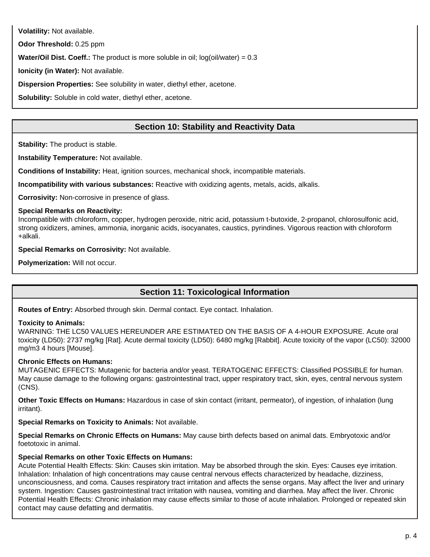**Volatility:** Not available.

**Odor Threshold:** 0.25 ppm

**Water/Oil Dist. Coeff.:** The product is more soluble in oil; log(oil/water) = 0.3

**Ionicity (in Water):** Not available.

**Dispersion Properties:** See solubility in water, diethyl ether, acetone.

**Solubility:** Soluble in cold water, diethyl ether, acetone.

### **Section 10: Stability and Reactivity Data**

**Stability:** The product is stable.

**Instability Temperature:** Not available.

**Conditions of Instability:** Heat, ignition sources, mechanical shock, incompatible materials.

**Incompatibility with various substances:** Reactive with oxidizing agents, metals, acids, alkalis.

**Corrosivity:** Non-corrosive in presence of glass.

#### **Special Remarks on Reactivity:**

Incompatible with chloroform, copper, hydrogen peroxide, nitric acid, potassium t-butoxide, 2-propanol, chlorosulfonic acid, strong oxidizers, amines, ammonia, inorganic acids, isocyanates, caustics, pyrindines. Vigorous reaction with chloroform +alkali.

**Special Remarks on Corrosivity:** Not available.

**Polymerization:** Will not occur.

### **Section 11: Toxicological Information**

**Routes of Entry:** Absorbed through skin. Dermal contact. Eye contact. Inhalation.

#### **Toxicity to Animals:**

WARNING: THE LC50 VALUES HEREUNDER ARE ESTIMATED ON THE BASIS OF A 4-HOUR EXPOSURE. Acute oral toxicity (LD50): 2737 mg/kg [Rat]. Acute dermal toxicity (LD50): 6480 mg/kg [Rabbit]. Acute toxicity of the vapor (LC50): 32000 mg/m3 4 hours [Mouse].

#### **Chronic Effects on Humans:**

MUTAGENIC EFFECTS: Mutagenic for bacteria and/or yeast. TERATOGENIC EFFECTS: Classified POSSIBLE for human. May cause damage to the following organs: gastrointestinal tract, upper respiratory tract, skin, eyes, central nervous system (CNS).

**Other Toxic Effects on Humans:** Hazardous in case of skin contact (irritant, permeator), of ingestion, of inhalation (lung irritant).

**Special Remarks on Toxicity to Animals:** Not available.

**Special Remarks on Chronic Effects on Humans:** May cause birth defects based on animal dats. Embryotoxic and/or foetotoxic in animal.

#### **Special Remarks on other Toxic Effects on Humans:**

Acute Potential Health Effects: Skin: Causes skin irritation. May be absorbed through the skin. Eyes: Causes eye irritation. Inhalation: Inhalation of high concentrations may cause central nervous effects characterized by headache, dizziness, unconsciousness, and coma. Causes respiratory tract irritation and affects the sense organs. May affect the liver and urinary system. Ingestion: Causes gastrointestinal tract irritation with nausea, vomiting and diarrhea. May affect the liver. Chronic Potential Health Effects: Chronic inhalation may cause effects similar to those of acute inhalation. Prolonged or repeated skin contact may cause defatting and dermatitis.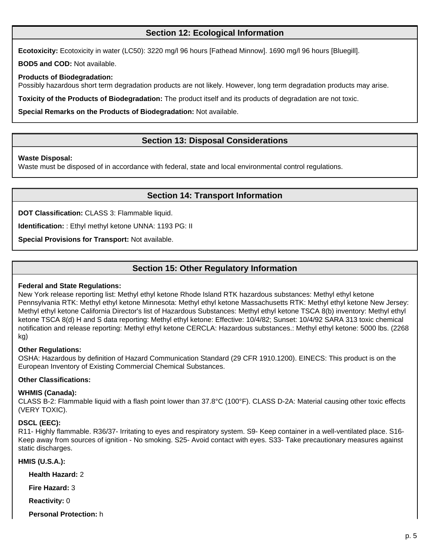# **Section 12: Ecological Information**

**Ecotoxicity:** Ecotoxicity in water (LC50): 3220 mg/l 96 hours [Fathead Minnow]. 1690 mg/l 96 hours [Bluegill].

**BOD5 and COD:** Not available.

### **Products of Biodegradation:**

Possibly hazardous short term degradation products are not likely. However, long term degradation products may arise.

**Toxicity of the Products of Biodegradation:** The product itself and its products of degradation are not toxic.

**Special Remarks on the Products of Biodegradation:** Not available.

## **Section 13: Disposal Considerations**

#### **Waste Disposal:**

Waste must be disposed of in accordance with federal, state and local environmental control regulations.

# **Section 14: Transport Information**

**DOT Classification:** CLASS 3: Flammable liquid.

**Identification:** : Ethyl methyl ketone UNNA: 1193 PG: II

**Special Provisions for Transport:** Not available.

### **Section 15: Other Regulatory Information**

#### **Federal and State Regulations:**

New York release reporting list: Methyl ethyl ketone Rhode Island RTK hazardous substances: Methyl ethyl ketone Pennsylvania RTK: Methyl ethyl ketone Minnesota: Methyl ethyl ketone Massachusetts RTK: Methyl ethyl ketone New Jersey: Methyl ethyl ketone California Director's list of Hazardous Substances: Methyl ethyl ketone TSCA 8(b) inventory: Methyl ethyl ketone TSCA 8(d) H and S data reporting: Methyl ethyl ketone: Effective: 10/4/82; Sunset: 10/4/92 SARA 313 toxic chemical notification and release reporting: Methyl ethyl ketone CERCLA: Hazardous substances.: Methyl ethyl ketone: 5000 lbs. (2268 kg)

#### **Other Regulations:**

OSHA: Hazardous by definition of Hazard Communication Standard (29 CFR 1910.1200). EINECS: This product is on the European Inventory of Existing Commercial Chemical Substances.

#### **Other Classifications:**

#### **WHMIS (Canada):**

CLASS B-2: Flammable liquid with a flash point lower than 37.8°C (100°F). CLASS D-2A: Material causing other toxic effects (VERY TOXIC).

#### **DSCL (EEC):**

R11- Highly flammable. R36/37- Irritating to eyes and respiratory system. S9- Keep container in a well-ventilated place. S16- Keep away from sources of ignition - No smoking. S25- Avoid contact with eyes. S33- Take precautionary measures against static discharges.

#### **HMIS (U.S.A.):**

**Health Hazard:** 2

**Fire Hazard:** 3

**Reactivity:** 0

**Personal Protection:** h